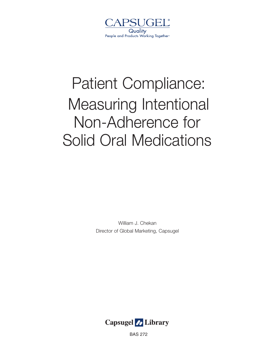

# Patient Compliance: Measuring Intentional Non-Adherence for Solid Oral Medications

William J. Chekan Director of Global Marketing, Capsugel



BAS 272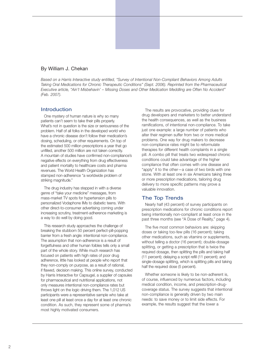#### By William J. Chekan

*Based on a Harris Interactive study entitled, "Survey of Intentional Non-Compliant Behaviors Among Adults Taking Oral Medications for Chronic Therapeutic Conditions" (Sept. 2006). Reprinted from the Pharmaceutical Executive article, "Ain't Misbehavin' – Missing Doses and Other Medication Meddling are Often No Accident" (Feb. 2007).*

#### Introduction

One mystery of human nature is why so many patients can't seem to take their pills properly. What's not in question is the size or seriousness of the problem. Half of all folks in the developed world who have a chronic disease don't follow their medication's dosing, scheduling, or other requirements. On top of the estimated 500 million prescriptions a year that go unfilled, another 500 million are not taken correctly. A mountain of studies have confirmed non-compliance's negative effects on everything from drug effectiveness and patient mortality to healthcare costs and pharma revenues. The World Health Organization has stamped non-adherence "a worldwide problem of striking magnitude."

The drug industry has stepped in with a diverse genre of "take your medicine" messages, from mass-market TV spots for hypertension pills to personalized Vodaphone IMs to diabetic teens. With other direct-to-consumer advertising coming under increasing scrutiny, treatment-adherence marketing is a way to do well by doing good.

This research study approaches the challenge of breaking the stubborn 50 percent perfect-pill-popping barrier from a fresh angle: intentional non-compliance. The assumption that non-adherence is a result of forgetfulness and other human foibles tells only a small part of the whole story. While much research has focused on patients with high rates of poor drug adherence, little has looked at people who report that they non-comply on purpose, as a result of rational, if flawed, decision making. This online survey, conducted by Harris Interactive for Capsugel, a supplier of capsules for pharmaceutical and nutritional applications, not only measures intentional non-compliance rates but throws light on the logic driving them. The 1,012 US participants were a representative sample who take at least one pill at least once a day for at least one chronic condition. As such, they represent some of pharma's most highly motivated consumers.

The results are provocative, providing clues for drug developers and marketers to better understand the health consequences, as well as the business ramifications, of intentional non-compliance. To take just one example: a large number of patients who alter their regimen suffer from two or more medical problems. One way for drug makers to decrease non-compliance rates might be to reformulate therapies for different health complaints in a single pill. A combo pill that treats two widespread chronic conditions could take advantage of the higher compliance that often comes with one disease and "apply" it to the other—a case of two birds with one stone. With at least one in six Americans taking three or more prescription medications, tailoring drug delivery to more specific patterns may prove a valuable innovation.

## The Top Trends

Nearly half (43 percent) of survey participants on prescription medications for chronic conditions report being intentionally non-compliant at least once in the past three months (see "A Dose of Reality," page 4).

The five most common behaviors are: skipping doses or taking too-few pills (16 percent); taking other medications, such as vitamins or supplements, without telling a doctor (16 percent); double-dosage splitting, or getting a prescription that is twice the required dosage, then splitting the pills and taking half (11 percent); delaying a script refill (11 percent); and single-dosage splitting, which is splitting pills and taking half the required dose (5 percent).

Whether someone is likely to be non-adherent is, of course, influenced by numerous factors, including medical condition, income, and prescription-drugcoverage status. The survey suggests that intentional non-compliance is generally driven by two main needs: to save money or to limit side effects. For example, the results suggest that the lower a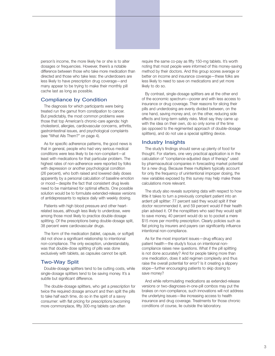person's income, the more likely he or she is to alter dosages or frequencies. However, there's a notable difference between those who take more medication than directed and those who take less: the underdosers are less likely to have prescription drug coverage—and many appear to be trying to make their monthly pill cache last as long as possible.

#### Compliance by Condition

The diagnosis for which participants were being treated run the gamut from constipation to cancer. But predictably, the most common problems were those that top American's chronic-care agenda: high cholesterol, allergies, cardiovascular concerns, arthritis, gastrointestinal issues, and psychological complaints (see "What Ails Them?" on page 4).

As for specific adherence patterns, the good news is that in general, people who had very serious medical conditions were less likely to be non-compliant—at least with medications for that particular problem. The highest rates of non-adherence were reported by folks with depression or another psychological condition (26 percent), who both raised and lowered daily doses apparently by a personal calculation of baseline emotion or mood—despite the fact that consistent drug levels need to be maintained for optimal effects. One possible solution would be to formulate extended-release versions of antidepressants to replace daily with weekly dosing.

Patients with high blood pressure and other heartrelated issues, although less likely to underdose, were among those most likely to practice double-dosage splitting. Of the prescriptions being double-dosage split, 38 percent were cardiovascular drugs.

The form of the medication (tablet, capsule, or softgel) did not show a significant relationship to intentional non-compliance. The only exception, understandably, was that double-dose splitting of pills was done exclusively with tablets, as capsules cannot be split.

#### Two-Way Split

Double-dosage splitters tend to be cutting costs, while single-dosage splitters tend to be saving money. It's a subtle but significant difference.

The double-dosage splitters, who get a prescription for twice the required dosage amount and then split the pills to take half each time, do so in the spirit of a savvy consumer: with flat pricing for prescriptions becoming more commonplace, fifty 300-mg tablets can often

require the same co-pay as fifty 150-mg tablets. It's worth noting that most people were informed of this money-saving method by their doctors. And this group scores average or better on income and insurance coverage—these folks are less likely to need to save on medications and yet more likely to do so.

By contrast, single-dosage splitters are at the other end of the economic spectrum—poorer and with less access to insurance or drug coverage. Their reasons for slicing their pills and underdosing are evenly divided between, on the one hand, saving money and, on the other, reducing side effects and long-term safety risks. Most say they came up with the idea on their own, do so only some of the time (as opposed to the regimented approach of double-dosage splitters), and do not use a special splitting device.

#### Industry Insights

The study's findings should serve up plenty of food for thought. For starters, one very practical application is in the calculation of "compliance-adjusted days of therapy" used by pharmaceutical companies in forecasting market potential for a new drug. Because these multipliers typically account for only the frequency of unintentional improper dosing, the new variables exposed by this survey may help make these calculations more relevant.

The study also reveals surprising data with respect to how little it takes to turn a previously compliant patient into an ardent pill splitter: 77 percent said they would split if their doctor recommended it, and 59 percent would if their health plan advised it. Of the nonsplitters who said they would split to save money, 40 percent would do so to pocket a mere \$15 more per monthly prescription. Clearly policies such as flat pricing by insurers and payers can significantly influence intentional non-compliance.

As for the most important issues—drug efficacy and patient health—the study's focus on intentional noncompliance raises new questions. What if the pill splitting is not done accurately? And for people taking more than one medication, does it add regimen complexity and thus raise the overall potential for error? Is it creating a slippery slope—further encouraging patients to skip dosing to save money?

And while reformulating medications as extended-release versions or two-diagnoses-in-one-pill combos may put the brakes on non-compliance, such innovations will not address the underlying issues—like increasing access to health insurance and drug coverage. Treatments for those chronic conditions of course, lie outside the laboratory.